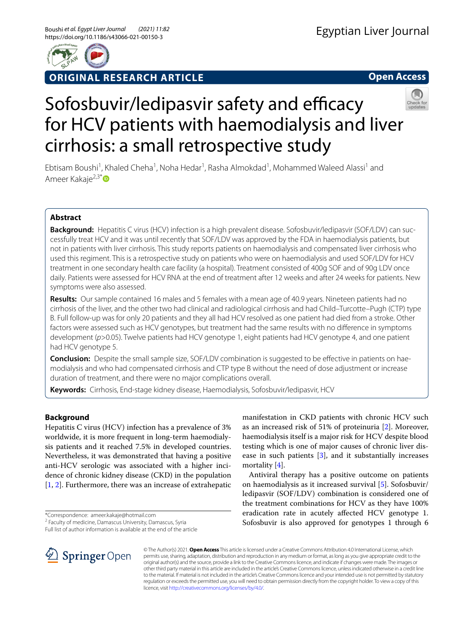

# **ORIGINAL RESEARCH ARTICLE**

**Open Access**

# Sofosbuvir/ledipasvir safety and efficacy for HCV patients with haemodialysis and liver cirrhosis: a small retrospective study

Ebtisam Boushi<sup>1</sup>, Khaled Cheha<sup>1</sup>, Noha Hedar<sup>1</sup>, Rasha Almokdad<sup>1</sup>, Mohammed Waleed Alassi<sup>1</sup> and Ameer Kakaje<sup>2,3[\\*](http://orcid.org/0000-0002-3949-6109)</sup>

# **Abstract**

**Background:** Hepatitis C virus (HCV) infection is a high prevalent disease. Sofosbuvir/ledipasvir (SOF/LDV) can successfully treat HCV and it was until recently that SOF/LDV was approved by the FDA in haemodialysis patients, but not in patients with liver cirrhosis. This study reports patients on haemodialysis and compensated liver cirrhosis who used this regiment. This is a retrospective study on patients who were on haemodialysis and used SOF/LDV for HCV treatment in one secondary health care facility (a hospital). Treatment consisted of 400g SOF and of 90g LDV once daily. Patients were assessed for HCV RNA at the end of treatment after 12 weeks and after 24 weeks for patients. New symptoms were also assessed.

**Results:** Our sample contained 16 males and 5 females with a mean age of 40.9 years. Nineteen patients had no cirrhosis of the liver, and the other two had clinical and radiological cirrhosis and had Child–Turcotte–Pugh (CTP) type B. Full follow-up was for only 20 patients and they all had HCV resolved as one patient had died from a stroke. Other factors were assessed such as HCV genotypes, but treatment had the same results with no diference in symptoms development (*p*>0.05). Twelve patients had HCV genotype 1, eight patients had HCV genotype 4, and one patient had HCV genotype 5.

**Conclusion:** Despite the small sample size, SOF/LDV combination is suggested to be effective in patients on haemodialysis and who had compensated cirrhosis and CTP type B without the need of dose adjustment or increase duration of treatment, and there were no major complications overall.

**Keywords:** Cirrhosis, End-stage kidney disease, Haemodialysis, Sofosbuvir/ledipasvir, HCV

# **Background**

Hepatitis C virus (HCV) infection has a prevalence of 3% worldwide, it is more frequent in long-term haemodialysis patients and it reached 7.5% in developed countries. Nevertheless, it was demonstrated that having a positive anti-HCV serologic was associated with a higher incidence of chronic kidney disease (CKD) in the population [[1,](#page-4-0) [2](#page-5-0)]. Furthermore, there was an increase of extrahepatic

\*Correspondence: ameer.kakaje@hotmail.com

<sup>2</sup> Faculty of medicine, Damascus University, Damascus, Syria

Full list of author information is available at the end of the article

as an increased risk of 51% of proteinuria [\[2](#page-5-0)]. Moreover, haemodialysis itself is a major risk for HCV despite blood testing which is one of major causes of chronic liver disease in such patients [[3\]](#page-5-1), and it substantially increases mortality [\[4](#page-5-2)].

manifestation in CKD patients with chronic HCV such

Antiviral therapy has a positive outcome on patients on haemodialysis as it increased survival [\[5](#page-5-3)]. Sofosbuvir/ ledipasvir (SOF/LDV) combination is considered one of the treatment combinations for HCV as they have 100% eradication rate in acutely afected HCV genotype 1. Sofosbuvir is also approved for genotypes 1 through 6



© The Author(s) 2021. **Open Access** This article is licensed under a Creative Commons Attribution 4.0 International License, which permits use, sharing, adaptation, distribution and reproduction in any medium or format, as long as you give appropriate credit to the original author(s) and the source, provide a link to the Creative Commons licence, and indicate if changes were made. The images or other third party material in this article are included in the article's Creative Commons licence, unless indicated otherwise in a credit line to the material. If material is not included in the article's Creative Commons licence and your intended use is not permitted by statutory regulation or exceeds the permitted use, you will need to obtain permission directly from the copyright holder. To view a copy of this licence, visit [http://creativecommons.org/licenses/by/4.0/.](http://creativecommons.org/licenses/by/4.0/)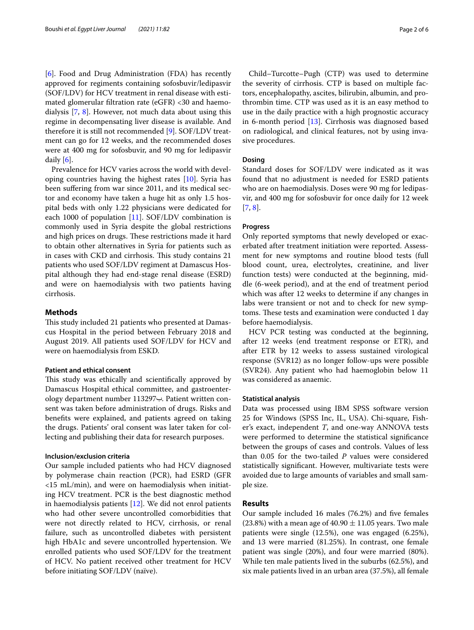[[6\]](#page-5-4). Food and Drug Administration (FDA) has recently approved for regiments containing sofosbuvir/ledipasvir (SOF/LDV) for HCV treatment in renal disease with estimated glomerular fltration rate (eGFR) <30 and haemodialysis [\[7,](#page-5-5) [8](#page-5-6)]. However, not much data about using this regime in decompensating liver disease is available. And therefore it is still not recommended [[9\]](#page-5-7). SOF/LDV treatment can go for 12 weeks, and the recommended doses were at 400 mg for sofosbuvir, and 90 mg for ledipasvir daily [[6\]](#page-5-4).

Prevalence for HCV varies across the world with developing countries having the highest rates [[10](#page-5-8)]. Syria has been suffering from war since 2011, and its medical sector and economy have taken a huge hit as only 1.5 hospital beds with only 1.22 physicians were dedicated for each 1000 of population [\[11](#page-5-9)]. SOF/LDV combination is commonly used in Syria despite the global restrictions and high prices on drugs. These restrictions made it hard to obtain other alternatives in Syria for patients such as in cases with CKD and cirrhosis. This study contains 21 patients who used SOF/LDV regiment at Damascus Hospital although they had end-stage renal disease (ESRD) and were on haemodialysis with two patients having cirrhosis.

#### **Methods**

This study included 21 patients who presented at Damascus Hospital in the period between February 2018 and August 2019. All patients used SOF/LDV for HCV and were on haemodialysis from ESKD.

### **Patient and ethical consent**

This study was ethically and scientifically approved by Damascus Hospital ethical committee, and gastroenterology department number 113297ب. Patient written consent was taken before administration of drugs. Risks and benefts were explained, and patients agreed on taking the drugs. Patients' oral consent was later taken for collecting and publishing their data for research purposes.

#### **Inclusion/exclusion criteria**

Our sample included patients who had HCV diagnosed by polymerase chain reaction (PCR), had ESRD (GFR <15 mL/min), and were on haemodialysis when initiating HCV treatment. PCR is the best diagnostic method in haemodialysis patients [[12](#page-5-10)]. We did not enrol patients who had other severe uncontrolled comorbidities that were not directly related to HCV, cirrhosis, or renal failure, such as uncontrolled diabetes with persistent high HbA1c and severe uncontrolled hypertension. We enrolled patients who used SOF/LDV for the treatment of HCV. No patient received other treatment for HCV before initiating SOF/LDV (naïve).

Child–Turcotte–Pugh (CTP) was used to determine the severity of cirrhosis. CTP is based on multiple factors, encephalopathy, ascites, bilirubin, albumin, and prothrombin time. CTP was used as it is an easy method to use in the daily practice with a high prognostic accuracy in 6-month period [[13\]](#page-5-11). Cirrhosis was diagnosed based on radiological, and clinical features, not by using invasive procedures.

### **Dosing**

Standard doses for SOF/LDV were indicated as it was found that no adjustment is needed for ESRD patients who are on haemodialysis. Doses were 90 mg for ledipasvir, and 400 mg for sofosbuvir for once daily for 12 week [[7,](#page-5-5) [8](#page-5-6)].

# **Progress**

Only reported symptoms that newly developed or exacerbated after treatment initiation were reported. Assessment for new symptoms and routine blood tests (full blood count, urea, electrolytes, creatinine, and liver function tests) were conducted at the beginning, middle (6-week period), and at the end of treatment period which was after 12 weeks to determine if any changes in labs were transient or not and to check for new symptoms. These tests and examination were conducted 1 day before haemodialysis.

HCV PCR testing was conducted at the beginning, after 12 weeks (end treatment response or ETR), and after ETR by 12 weeks to assess sustained virological response (SVR12) as no longer follow-ups were possible (SVR24). Any patient who had haemoglobin below 11 was considered as anaemic.

### **Statistical analysis**

Data was processed using IBM SPSS software version 25 for Windows (SPSS Inc, IL, USA). Chi-square, Fisher's exact, independent *T*, and one-way ANNOVA tests were performed to determine the statistical signifcance between the groups of cases and controls. Values of less than 0.05 for the two-tailed *P* values were considered statistically signifcant. However, multivariate tests were avoided due to large amounts of variables and small sample size.

#### **Results**

Our sample included 16 males (76.2%) and fve females (23.8%) with a mean age of  $40.90 \pm 11.05$  years. Two male patients were single (12.5%), one was engaged (6.25%), and 13 were married (81.25%). In contrast, one female patient was single (20%), and four were married (80%). While ten male patients lived in the suburbs (62.5%), and six male patients lived in an urban area (37.5%), all female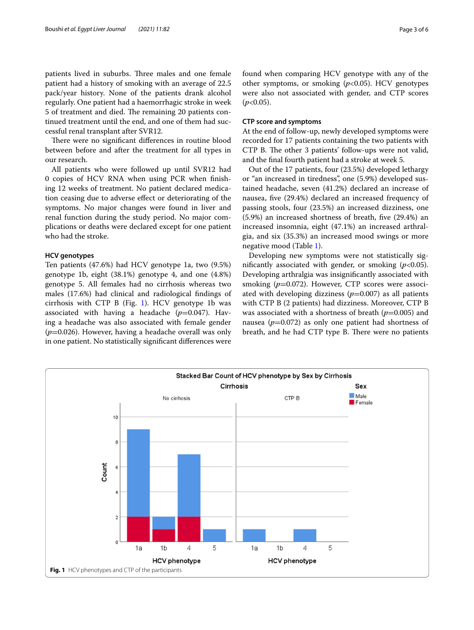patients lived in suburbs. Three males and one female patient had a history of smoking with an average of 22.5 pack/year history. None of the patients drank alcohol regularly. One patient had a haemorrhagic stroke in week 5 of treatment and died. The remaining 20 patients continued treatment until the end, and one of them had successful renal transplant after SVR12.

There were no significant differences in routine blood between before and after the treatment for all types in our research.

All patients who were followed up until SVR12 had 0 copies of HCV RNA when using PCR when fnishing 12 weeks of treatment. No patient declared medication ceasing due to adverse efect or deteriorating of the symptoms. No major changes were found in liver and renal function during the study period. No major complications or deaths were declared except for one patient who had the stroke.

#### **HCV genotypes**

Ten patients (47.6%) had HCV genotype 1a, two (9.5%) genotype 1b, eight (38.1%) genotype 4, and one (4.8%) genotype 5. All females had no cirrhosis whereas two males (17.6%) had clinical and radiological fndings of cirrhosis with CTP B (Fig. [1\)](#page-2-0). HCV genotype 1b was associated with having a headache  $(p=0.047)$ . Having a headache was also associated with female gender (*p*=0.026). However, having a headache overall was only in one patient. No statistically signifcant diferences were found when comparing HCV genotype with any of the other symptoms, or smoking (*p*<0.05). HCV genotypes were also not associated with gender, and CTP scores  $(p<0.05)$ .

#### **CTP score and symptoms**

At the end of follow-up, newly developed symptoms were recorded for 17 patients containing the two patients with CTP B. The other 3 patients' follow-ups were not valid, and the fnal fourth patient had a stroke at week 5.

Out of the 17 patients, four (23.5%) developed lethargy or "an increased in tiredness", one (5.9%) developed sustained headache, seven (41.2%) declared an increase of nausea, fve (29.4%) declared an increased frequency of passing stools, four (23.5%) an increased dizziness, one (5.9%) an increased shortness of breath, fve (29.4%) an increased insomnia, eight (47.1%) an increased arthralgia, and six (35.3%) an increased mood swings or more negative mood (Table [1](#page-3-0)).

Developing new symptoms were not statistically signifcantly associated with gender, or smoking (*p*<0.05). Developing arthralgia was insignifcantly associated with smoking (p=0.072). However, CTP scores were associated with developing dizziness  $(p=0.007)$  as all patients with CTP B (2 patients) had dizziness. Moreover, CTP B was associated with a shortness of breath ( $p=0.005$ ) and nausea ( $p=0.072$ ) as only one patient had shortness of breath, and he had CTP type B. There were no patients

<span id="page-2-0"></span>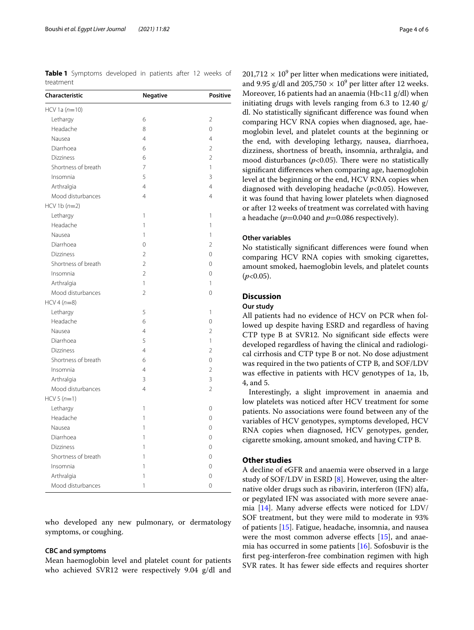<span id="page-3-0"></span>**Table 1** Symptoms developed in patients after 12 weeks of treatment

| Characteristic      | <b>Negative</b>          | <b>Positive</b> |
|---------------------|--------------------------|-----------------|
| $HCV 1a (n=10)$     |                          |                 |
| Lethargy            | 6                        | 2               |
| Headache            | 8                        | 0               |
| Nausea              | $\overline{4}$           | $\overline{4}$  |
| Diarrhoea           | 6                        | $\overline{2}$  |
| <b>Dizziness</b>    | 6                        | $\overline{2}$  |
| Shortness of breath | $\overline{7}$           | 1               |
| Insomnia            | 5                        | 3               |
| Arthralgia          | $\overline{4}$           | $\overline{4}$  |
| Mood disturbances   | $\overline{4}$           | $\overline{4}$  |
| $HCV 1b (n=2)$      |                          |                 |
| Lethargy            | 1                        | 1               |
| Headache            | 1                        | 1               |
| Nausea              | 1                        | 1               |
| Diarrhoea           | 0                        | 2               |
| <b>Dizziness</b>    | $\overline{2}$           | $\overline{0}$  |
| Shortness of breath | $\overline{2}$           | $\mathbf 0$     |
| Insomnia            | $\overline{\mathcal{L}}$ | $\Omega$        |
| Arthralgia          | 1                        | 1               |
| Mood disturbances   | $\overline{2}$           | $\Omega$        |
| $HCV 4 (n=8)$       |                          |                 |
| Lethargy            | 5                        | 1               |
| Headache            | 6                        | $\mathbf 0$     |
| Nausea              | $\overline{4}$           | $\overline{2}$  |
| Diarrhoea           | 5                        | 1               |
| <b>Dizziness</b>    | $\overline{4}$           | $\overline{2}$  |
| Shortness of breath | 6                        | $\overline{O}$  |
| Insomnia            | $\overline{4}$           | $\overline{2}$  |
| Arthralgia          | 3                        | $\overline{3}$  |
| Mood disturbances   | 4                        | $\overline{2}$  |
| $HCV 5 (n=1)$       |                          |                 |
| Lethargy            | 1                        | $\mathbf 0$     |
| Headache            | 1                        | $\mathbf 0$     |
| Nausea              | 1                        | 0               |
| Diarrhoea           | 1                        | 0               |
| <b>Dizziness</b>    | 1                        | $\mathbf 0$     |
| Shortness of breath | 1                        | $\mathbf 0$     |
| Insomnia            | 1                        | 0               |
| Arthralgia          | 1                        | $\mathbf 0$     |
| Mood disturbances   | $\overline{1}$           | $\Omega$        |

who developed any new pulmonary, or dermatology symptoms, or coughing.

### **CBC and symptoms**

Mean haemoglobin level and platelet count for patients who achieved SVR12 were respectively 9.04 g/dl and

 $201,712 \times 10^9$  per litter when medications were initiated, and 9.95 g/dl and  $205,750 \times 10^9$  per litter after 12 weeks. Moreover, 16 patients had an anaemia (Hb<11 g/dl) when initiating drugs with levels ranging from 6.3 to 12.40 g/ dl. No statistically signifcant diference was found when comparing HCV RNA copies when diagnosed, age, haemoglobin level, and platelet counts at the beginning or the end, with developing lethargy, nausea, diarrhoea, dizziness, shortness of breath, insomnia, arthralgia, and mood disturbances ( $p$ <0.05). There were no statistically signifcant diferences when comparing age, haemoglobin level at the beginning or the end, HCV RNA copies when diagnosed with developing headache (*p*<0.05). However, it was found that having lower platelets when diagnosed or after 12 weeks of treatment was correlated with having a headache ( $p=0.040$  and  $p=0.086$  respectively).

# **Other variables**

No statistically signifcant diferences were found when comparing HCV RNA copies with smoking cigarettes, amount smoked, haemoglobin levels, and platelet counts  $(p<0.05)$ .

# **Discussion**

# **Our study**

All patients had no evidence of HCV on PCR when followed up despite having ESRD and regardless of having CTP type B at SVR12. No signifcant side efects were developed regardless of having the clinical and radiological cirrhosis and CTP type B or not. No dose adjustment was required in the two patients of CTP B, and SOF/LDV was efective in patients with HCV genotypes of 1a, 1b, 4, and 5.

Interestingly, a slight improvement in anaemia and low platelets was noticed after HCV treatment for some patients. No associations were found between any of the variables of HCV genotypes, symptoms developed, HCV RNA copies when diagnosed, HCV genotypes, gender, cigarette smoking, amount smoked, and having CTP B.

# **Other studies**

A decline of eGFR and anaemia were observed in a large study of SOF/LDV in ESRD [\[8](#page-5-6)]. However, using the alternative older drugs such as ribavirin, interferon (IFN) alfa, or pegylated IFN was associated with more severe anaemia [[14](#page-5-12)]. Many adverse efects were noticed for LDV/ SOF treatment, but they were mild to moderate in 93% of patients [[15\]](#page-5-13). Fatigue, headache, insomnia, and nausea were the most common adverse effects  $[15]$  $[15]$ , and anaemia has occurred in some patients [\[16](#page-5-14)]. Sofosbuvir is the frst peg-interferon-free combination regimen with high SVR rates. It has fewer side efects and requires shorter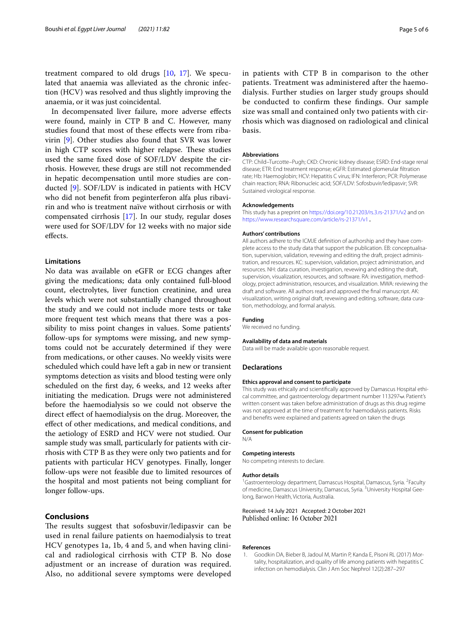treatment compared to old drugs [[10](#page-5-8), [17](#page-5-15)]. We speculated that anaemia was alleviated as the chronic infection (HCV) was resolved and thus slightly improving the anaemia, or it was just coincidental.

In decompensated liver failure, more adverse efects were found, mainly in CTP B and C. However, many studies found that most of these efects were from ribavirin [\[9\]](#page-5-7). Other studies also found that SVR was lower in high CTP scores with higher relapse. These studies used the same fxed dose of SOF/LDV despite the cirrhosis. However, these drugs are still not recommended in hepatic decompensation until more studies are conducted [\[9](#page-5-7)]. SOF/LDV is indicated in patients with HCV who did not beneft from peginterferon alfa plus ribavirin and who is treatment naïve without cirrhosis or with compensated cirrhosis [\[17](#page-5-15)]. In our study, regular doses were used for SOF/LDV for 12 weeks with no major side efects.

# **Limitations**

No data was available on eGFR or ECG changes after giving the medications; data only contained full-blood count, electrolytes, liver function creatinine, and urea levels which were not substantially changed throughout the study and we could not include more tests or take more frequent test which means that there was a possibility to miss point changes in values. Some patients' follow-ups for symptoms were missing, and new symptoms could not be accurately determined if they were from medications, or other causes. No weekly visits were scheduled which could have left a gab in new or transient symptoms detection as visits and blood testing were only scheduled on the frst day, 6 weeks, and 12 weeks after initiating the medication. Drugs were not administered before the haemodialysis so we could not observe the direct efect of haemodialysis on the drug. Moreover, the efect of other medications, and medical conditions, and the aetiology of ESRD and HCV were not studied. Our sample study was small, particularly for patients with cirrhosis with CTP B as they were only two patients and for patients with particular HCV genotypes. Finally, longer follow-ups were not feasible due to limited resources of the hospital and most patients not being compliant for longer follow-ups.

# **Conclusions**

The results suggest that sofosbuvir/ledipasvir can be used in renal failure patients on haemodialysis to treat HCV genotypes 1a, 1b, 4 and 5, and when having clinical and radiological cirrhosis with CTP B. No dose adjustment or an increase of duration was required. Also, no additional severe symptoms were developed

in patients with CTP B in comparison to the other patients. Treatment was administered after the haemodialysis. Further studies on larger study groups should be conducted to confrm these fndings. Our sample size was small and contained only two patients with cirrhosis which was diagnosed on radiological and clinical basis.

#### **Abbreviations**

CTP: Child–Turcotte–Pugh; CKD: Chronic kidney disease; ESRD: End-stage renal disease; ETR: End treatment response; eGFR: Estimated glomerular fltration rate; Hb: Haemoglobin; HCV: Hepatitis C virus; IFN: Interferon; PCR: Polymerase chain reaction; RNA: Ribonucleic acid; SOF/LDV: Sofosbuvir/ledipasvir; SVR: Sustained virological response.

#### **Acknowledgements**

This study has a preprint on <https://doi.org/10.21203/rs.3.rs-21371/v2>and on <https://www.researchsquare.com/article/rs-21371/v1>.

#### **Authors' contributions**

All authors adhere to the ICMJE defnition of authorship and they have complete access to the study data that support the publication. EB: conceptualisation, supervision, validation, revewing and editing the draft, project administration, and resources. KC: supervision, validation, project administration, and resources. NH: data curation, investigation, revewing and editing the draft, supervision, visualization, resources, and software. RA: investigation, methodology, project administration, resources, and visualization. MWA: reviewing the draft and software. All authors read and approved the fnal manuscript. AK: visualization, writing original draft, revewing and editing, software, data curation, methodology, and formal analysis.

#### **Funding**

We received no funding.

#### **Availability of data and materials**

Data will be made available upon reasonable request.

#### **Declarations**

#### **Ethics approval and consent to participate**

This study was ethically and scientifcally approved by Damascus Hospital ethical committee, and gastroenterology department number 113297ب. Patient's written consent was taken before administration of drugs as this drug regime was not approved at the time of treatment for haemodialysis patients. Risks and benefts were explained and patients agreed on taken the drugs

#### **Consent for publication**

N/A

#### **Competing interests**

No competing interests to declare.

#### **Author details**

<sup>1</sup> Gastroenterology department, Damascus Hospital, Damascus, Syria. <sup>2</sup> Faculty of medicine, Damascus University, Damascus, Syria. <sup>3</sup>University Hospital Geelong, Barwon Health, Victoria, Australia.

#### Received: 14 July 2021 Accepted: 2 October 2021 Published online: 16 October 2021

#### **References**

<span id="page-4-0"></span>1. Goodkin DA, Bieber B, Jadoul M, Martin P, Kanda E, Pisoni RL (2017) Mortality, hospitalization, and quality of life among patients with hepatitis C infection on hemodialysis. Clin J Am Soc Nephrol 12(2):287–297